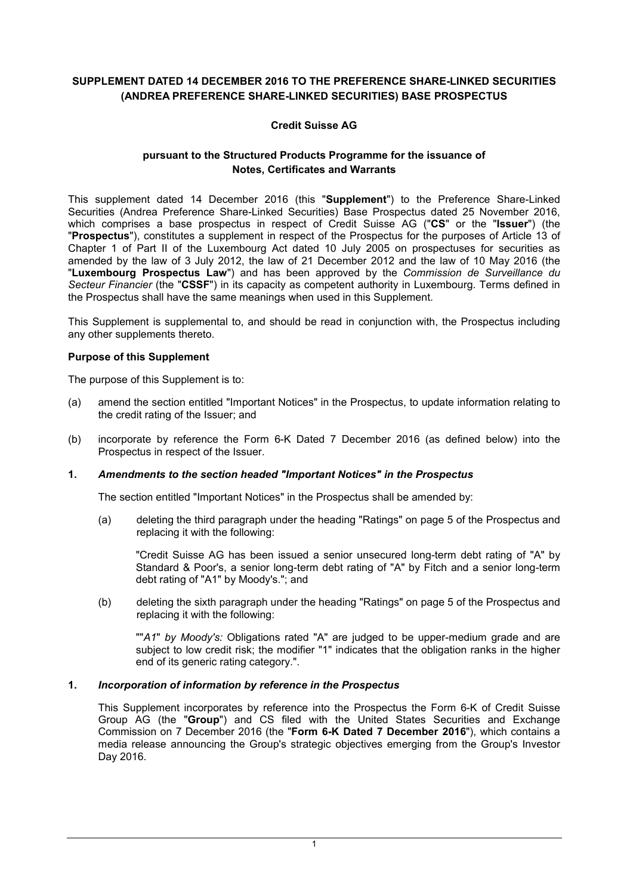# **SUPPLEMENT DATED 14 DECEMBER 2016 TO THE PREFERENCE SHARE-LINKED SECURITIES (ANDREA PREFERENCE SHARE-LINKED SECURITIES) BASE PROSPECTUS**

# **Credit Suisse AG**

# **pursuant to the Structured Products Programme for the issuance of Notes, Certificates and Warrants**

This supplement dated 14 December 2016 (this "**Supplement**") to the Preference Share-Linked Securities (Andrea Preference Share-Linked Securities) Base Prospectus dated 25 November 2016, which comprises a base prospectus in respect of Credit Suisse AG ("**CS**" or the "**Issuer**") (the "**Prospectus**"), constitutes a supplement in respect of the Prospectus for the purposes of Article 13 of Chapter 1 of Part II of the Luxembourg Act dated 10 July 2005 on prospectuses for securities as amended by the law of 3 July 2012, the law of 21 December 2012 and the law of 10 May 2016 (the "**Luxembourg Prospectus Law**") and has been approved by the *Commission de Surveillance du Secteur Financier* (the "**CSSF**") in its capacity as competent authority in Luxembourg. Terms defined in the Prospectus shall have the same meanings when used in this Supplement.

This Supplement is supplemental to, and should be read in conjunction with, the Prospectus including any other supplements thereto.

### **Purpose of this Supplement**

The purpose of this Supplement is to:

- (a) amend the section entitled "Important Notices" in the Prospectus, to update information relating to the credit rating of the Issuer; and
- (b) incorporate by reference the Form 6-K Dated 7 December 2016 (as defined below) into the Prospectus in respect of the Issuer.

## **1.** *Amendments to the section headed "Important Notices" in the Prospectus*

The section entitled "Important Notices" in the Prospectus shall be amended by:

(a) deleting the third paragraph under the heading "Ratings" on page 5 of the Prospectus and replacing it with the following:

"Credit Suisse AG has been issued a senior unsecured long-term debt rating of "A" by Standard & Poor's, a senior long-term debt rating of "A" by Fitch and a senior long-term debt rating of "A1" by Moody's."; and

(b) deleting the sixth paragraph under the heading "Ratings" on page 5 of the Prospectus and replacing it with the following:

""*A1*" *by Moody's:* Obligations rated "A" are judged to be upper-medium grade and are subject to low credit risk; the modifier "1" indicates that the obligation ranks in the higher end of its generic rating category.".

## **1.** *Incorporation of information by reference in the Prospectus*

This Supplement incorporates by reference into the Prospectus the Form 6-K of Credit Suisse Group AG (the "**Group**") and CS filed with the United States Securities and Exchange Commission on 7 December 2016 (the "**Form 6-K Dated 7 December 2016**"), which contains a media release announcing the Group's strategic objectives emerging from the Group's Investor Day 2016.